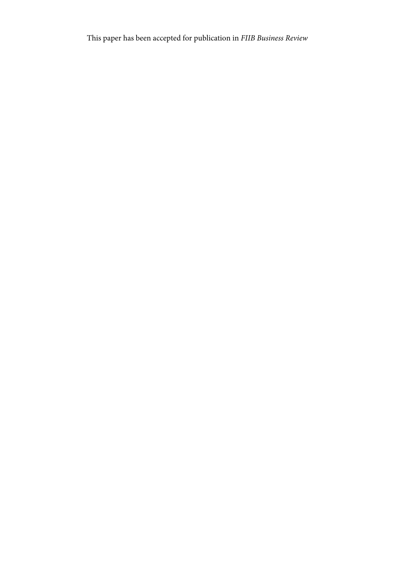This paper has been accepted for publication in *FIIB Business Review*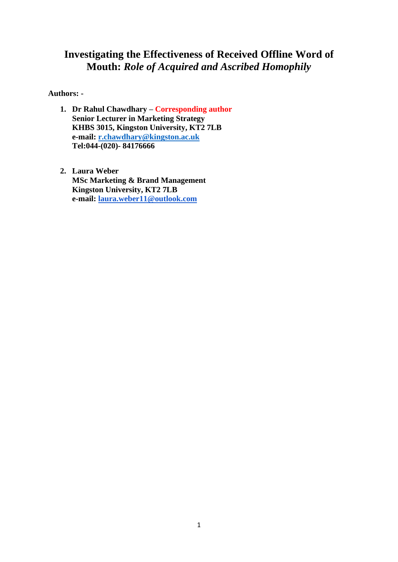# **Investigating the Effectiveness of Received Offline Word of Mouth:** *Role of Acquired and Ascribed Homophily*

**Authors: -**

- **1. Dr Rahul Chawdhary – Corresponding author Senior Lecturer in Marketing Strategy KHBS 3015, Kingston University, KT2 7LB e-mail: [r.chawdhary@kingston.ac.uk](mailto:r.chawdhary@kingston.ac.uk) Tel:044-(020)- 84176666**
- **2. Laura Weber MSc Marketing & Brand Management Kingston University, KT2 7LB e-mail: [laura.weber11@outlook.com](mailto:laura.weber11@outlook.com)**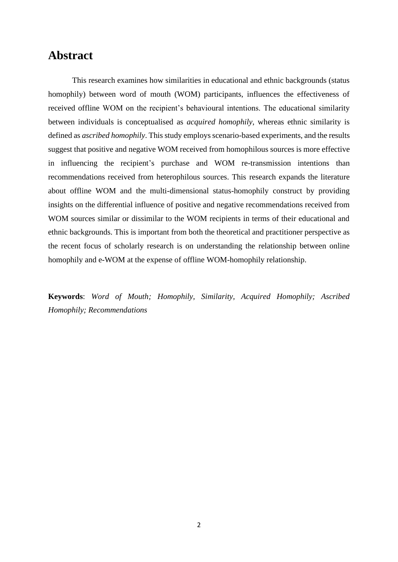# **Abstract**

This research examines how similarities in educational and ethnic backgrounds (status homophily) between word of mouth (WOM) participants, influences the effectiveness of received offline WOM on the recipient's behavioural intentions. The educational similarity between individuals is conceptualised as *acquired homophily*, whereas ethnic similarity is defined as *ascribed homophily*. This study employs scenario-based experiments, and the results suggest that positive and negative WOM received from homophilous sources is more effective in influencing the recipient's purchase and WOM re-transmission intentions than recommendations received from heterophilous sources. This research expands the literature about offline WOM and the multi-dimensional status-homophily construct by providing insights on the differential influence of positive and negative recommendations received from WOM sources similar or dissimilar to the WOM recipients in terms of their educational and ethnic backgrounds. This is important from both the theoretical and practitioner perspective as the recent focus of scholarly research is on understanding the relationship between online homophily and e-WOM at the expense of offline WOM-homophily relationship.

**Keywords**: *Word of Mouth; Homophily, Similarity, Acquired Homophily; Ascribed Homophily; Recommendations*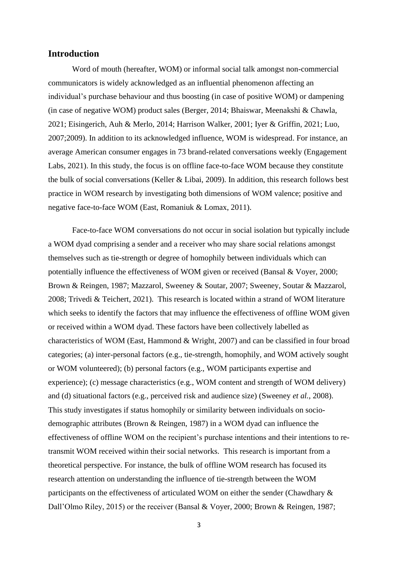## **Introduction**

Word of mouth (hereafter, WOM) or informal social talk amongst non-commercial communicators is widely acknowledged as an influential phenomenon affecting an individual's purchase behaviour and thus boosting (in case of positive WOM) or dampening (in case of negative WOM) product sales (Berger, 2014; Bhaiswar, Meenakshi & Chawla, 2021; Eisingerich, Auh & Merlo, 2014; Harrison Walker, 2001; Iyer & Griffin, 2021; Luo, 2007;2009). In addition to its acknowledged influence, WOM is widespread. For instance, an average American consumer engages in 73 brand-related conversations weekly (Engagement Labs, 2021). In this study, the focus is on offline face-to-face WOM because they constitute the bulk of social conversations (Keller & Libai, 2009). In addition, this research follows best practice in WOM research by investigating both dimensions of WOM valence; positive and negative face-to-face WOM (East, Romaniuk & Lomax, 2011).

Face-to-face WOM conversations do not occur in social isolation but typically include a WOM dyad comprising a sender and a receiver who may share social relations amongst themselves such as tie-strength or degree of homophily between individuals which can potentially influence the effectiveness of WOM given or received (Bansal & Voyer, 2000; Brown & Reingen, 1987; Mazzarol, Sweeney & Soutar, 2007; Sweeney, Soutar & Mazzarol, 2008; Trivedi & Teichert, 2021). This research is located within a strand of WOM literature which seeks to identify the factors that may influence the effectiveness of offline WOM given or received within a WOM dyad. These factors have been collectively labelled as characteristics of WOM (East, Hammond  $&$  Wright, 2007) and can be classified in four broad categories; (a) inter-personal factors (e.g., tie-strength, homophily, and WOM actively sought or WOM volunteered); (b) personal factors (e.g., WOM participants expertise and experience); (c) message characteristics (e.g., WOM content and strength of WOM delivery) and (d) situational factors (e.g., perceived risk and audience size) (Sweeney *et al.*, 2008). This study investigates if status homophily or similarity between individuals on sociodemographic attributes (Brown & Reingen, 1987) in a WOM dyad can influence the effectiveness of offline WOM on the recipient's purchase intentions and their intentions to retransmit WOM received within their social networks. This research is important from a theoretical perspective. For instance, the bulk of offline WOM research has focused its research attention on understanding the influence of tie-strength between the WOM participants on the effectiveness of articulated WOM on either the sender (Chawdhary & Dall'Olmo Riley, 2015) or the receiver (Bansal & Voyer, 2000; Brown & Reingen, 1987;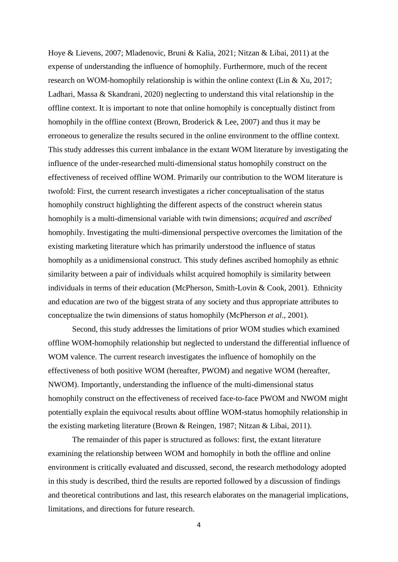Hoye & Lievens, 2007; Mladenovic, Bruni & Kalia, 2021; Nitzan & Libai, 2011) at the expense of understanding the influence of homophily. Furthermore, much of the recent research on WOM-homophily relationship is within the online context (Lin & Xu, 2017; Ladhari, Massa & Skandrani, 2020) neglecting to understand this vital relationship in the offline context. It is important to note that online homophily is conceptually distinct from homophily in the offline context (Brown, Broderick & Lee, 2007) and thus it may be erroneous to generalize the results secured in the online environment to the offline context. This study addresses this current imbalance in the extant WOM literature by investigating the influence of the under-researched multi-dimensional status homophily construct on the effectiveness of received offline WOM. Primarily our contribution to the WOM literature is twofold: First, the current research investigates a richer conceptualisation of the status homophily construct highlighting the different aspects of the construct wherein status homophily is a multi-dimensional variable with twin dimensions; *acquired* and *ascribed* homophily. Investigating the multi-dimensional perspective overcomes the limitation of the existing marketing literature which has primarily understood the influence of status homophily as a unidimensional construct. This study defines ascribed homophily as ethnic similarity between a pair of individuals whilst acquired homophily is similarity between individuals in terms of their education (McPherson, Smith-Lovin & Cook, 2001). Ethnicity and education are two of the biggest strata of any society and thus appropriate attributes to conceptualize the twin dimensions of status homophily (McPherson *et al*., 2001).

Second, this study addresses the limitations of prior WOM studies which examined offline WOM-homophily relationship but neglected to understand the differential influence of WOM valence. The current research investigates the influence of homophily on the effectiveness of both positive WOM (hereafter, PWOM) and negative WOM (hereafter, NWOM). Importantly, understanding the influence of the multi-dimensional status homophily construct on the effectiveness of received face-to-face PWOM and NWOM might potentially explain the equivocal results about offline WOM-status homophily relationship in the existing marketing literature (Brown & Reingen, 1987; Nitzan & Libai, 2011).

The remainder of this paper is structured as follows: first, the extant literature examining the relationship between WOM and homophily in both the offline and online environment is critically evaluated and discussed, second, the research methodology adopted in this study is described, third the results are reported followed by a discussion of findings and theoretical contributions and last, this research elaborates on the managerial implications, limitations, and directions for future research.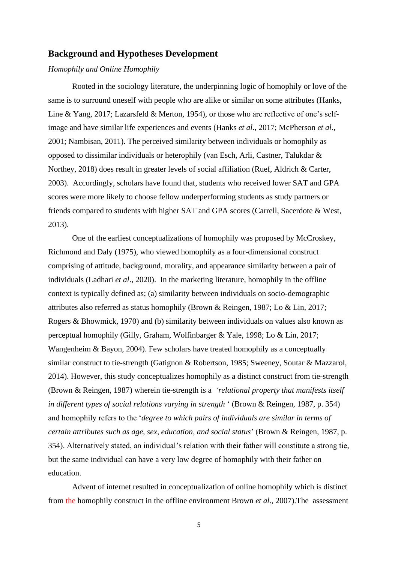## **Background and Hypotheses Development**

#### *Homophily and Online Homophily*

Rooted in the sociology literature, the underpinning logic of homophily or love of the same is to surround oneself with people who are alike or similar on some attributes (Hanks, Line & Yang, 2017; Lazarsfeld & Merton, 1954), or those who are reflective of one's selfimage and have similar life experiences and events (Hanks *et al*., 2017; McPherson *et al*., 2001; Nambisan, 2011). The perceived similarity between individuals or homophily as opposed to dissimilar individuals or heterophily (van Esch, Arli, Castner, Talukdar & Northey, 2018) does result in greater levels of social affiliation (Ruef, Aldrich & Carter, 2003). Accordingly, scholars have found that, students who received lower SAT and GPA scores were more likely to choose fellow underperforming students as study partners or friends compared to students with higher SAT and GPA scores (Carrell, Sacerdote & West, 2013).

One of the earliest conceptualizations of homophily was proposed by McCroskey, Richmond and Daly (1975), who viewed homophily as a four-dimensional construct comprising of attitude, background, morality, and appearance similarity between a pair of individuals (Ladhari *et al*., 2020). In the marketing literature, homophily in the offline context is typically defined as; (a) similarity between individuals on socio-demographic attributes also referred as status homophily (Brown & Reingen, 1987; Lo & Lin, 2017; Rogers & Bhowmick, 1970) and (b) similarity between individuals on values also known as perceptual homophily (Gilly, Graham, Wolfinbarger & Yale, 1998; Lo & Lin, 2017; Wangenheim & Bayon, 2004). Few scholars have treated homophily as a conceptually similar construct to tie-strength (Gatignon & Robertson, 1985; Sweeney, Soutar & Mazzarol, 2014). However, this study conceptualizes homophily as a distinct construct from tie-strength (Brown & Reingen, 1987) wherein tie-strength is a *'relational property that manifests itself in different types of social relations varying in strength* ' (Brown & Reingen, 1987, p. 354) and homophily refers to the '*degree to which pairs of individuals are similar in terms of certain attributes such as age, sex, education, and social status*' (Brown & Reingen, 1987, p. 354). Alternatively stated, an individual's relation with their father will constitute a strong tie, but the same individual can have a very low degree of homophily with their father on education.

Advent of internet resulted in conceptualization of online homophily which is distinct from the homophily construct in the offline environment Brown *et al*., 2007).The assessment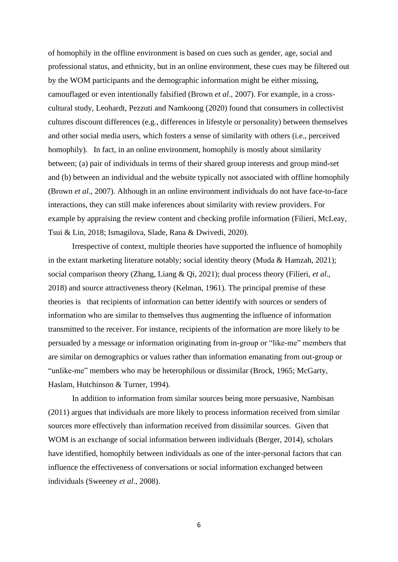of homophily in the offline environment is based on cues such as gender, age, social and professional status, and ethnicity, but in an online environment, these cues may be filtered out by the WOM participants and the demographic information might be either missing, camouflaged or even intentionally falsified (Brown *et al*., 2007). For example, in a crosscultural study, Leohardt, Pezzuti and Namkoong (2020) found that consumers in collectivist cultures discount differences (e.g., differences in lifestyle or personality) between themselves and other social media users, which fosters a sense of similarity with others (i.e., perceived homophily). In fact, in an online environment, homophily is mostly about similarity between; (a) pair of individuals in terms of their shared group interests and group mind-set and (b) between an individual and the website typically not associated with offline homophily (Brown *et al.,* 2007). Although in an online environment individuals do not have face-to-face interactions, they can still make inferences about similarity with review providers. For example by appraising the review content and checking profile information (Filieri, McLeay, Tsui & Lin, 2018; Ismagilova, Slade, Rana & Dwivedi, 2020).

Irrespective of context, multiple theories have supported the influence of homophily in the extant marketing literature notably; social identity theory (Muda & Hamzah, 2021); social comparison theory (Zhang, Liang & Qi, 2021); dual process theory (Filieri, *et al*., 2018) and source attractiveness theory (Kelman, 1961). The principal premise of these theories is that recipients of information can better identify with sources or senders of information who are similar to themselves thus augmenting the influence of information transmitted to the receiver. For instance, recipients of the information are more likely to be persuaded by a message or information originating from in-group or "like-me" members that are similar on demographics or values rather than information emanating from out-group or "unlike-me" members who may be heterophilous or dissimilar (Brock, 1965; McGarty, Haslam, Hutchinson & Turner, 1994).

In addition to information from similar sources being more persuasive, Nambisan (2011) argues that individuals are more likely to process information received from similar sources more effectively than information received from dissimilar sources. Given that WOM is an exchange of social information between individuals (Berger, 2014), scholars have identified, homophily between individuals as one of the inter-personal factors that can influence the effectiveness of conversations or social information exchanged between individuals (Sweeney *et al*., 2008).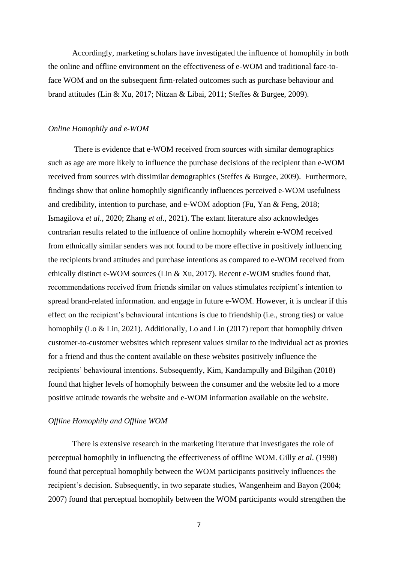Accordingly, marketing scholars have investigated the influence of homophily in both the online and offline environment on the effectiveness of e-WOM and traditional face-toface WOM and on the subsequent firm-related outcomes such as purchase behaviour and brand attitudes (Lin & Xu, 2017; Nitzan & Libai, 2011; Steffes & Burgee, 2009).

## *Online Homophily and e-WOM*

There is evidence that e-WOM received from sources with similar demographics such as age are more likely to influence the purchase decisions of the recipient than e-WOM received from sources with dissimilar demographics (Steffes & Burgee, 2009). Furthermore, findings show that online homophily significantly influences perceived e-WOM usefulness and credibility, intention to purchase, and e-WOM adoption (Fu, Yan & Feng, 2018; Ismagilova *et al*., 2020; Zhang *et al*., 2021). The extant literature also acknowledges contrarian results related to the influence of online homophily wherein e-WOM received from ethnically similar senders was not found to be more effective in positively influencing the recipients brand attitudes and purchase intentions as compared to e-WOM received from ethically distinct e-WOM sources (Lin & Xu, 2017). Recent e-WOM studies found that, recommendations received from friends similar on values stimulates recipient's intention to spread brand-related information. and engage in future e-WOM. However, it is unclear if this effect on the recipient's behavioural intentions is due to friendship (i.e., strong ties) or value homophily (Lo & Lin, 2021). Additionally, Lo and Lin (2017) report that homophily driven customer-to-customer websites which represent values similar to the individual act as proxies for a friend and thus the content available on these websites positively influence the recipients' behavioural intentions. Subsequently, Kim, Kandampully and Bilgihan (2018) found that higher levels of homophily between the consumer and the website led to a more positive attitude towards the website and e-WOM information available on the website.

## *Offline Homophily and Offline WOM*

There is extensive research in the marketing literature that investigates the role of perceptual homophily in influencing the effectiveness of offline WOM. Gilly *et al*. (1998) found that perceptual homophily between the WOM participants positively influences the recipient's decision. Subsequently, in two separate studies, Wangenheim and Bayon (2004; 2007) found that perceptual homophily between the WOM participants would strengthen the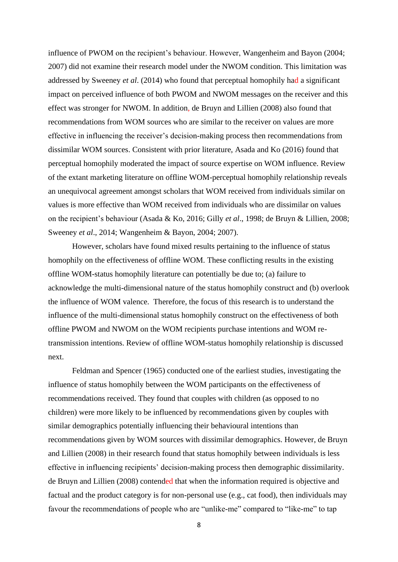influence of PWOM on the recipient's behaviour. However, Wangenheim and Bayon (2004; 2007) did not examine their research model under the NWOM condition. This limitation was addressed by Sweeney *et al*. (2014) who found that perceptual homophily had a significant impact on perceived influence of both PWOM and NWOM messages on the receiver and this effect was stronger for NWOM. In addition, de Bruyn and Lillien (2008) also found that recommendations from WOM sources who are similar to the receiver on values are more effective in influencing the receiver's decision-making process then recommendations from dissimilar WOM sources. Consistent with prior literature, Asada and Ko (2016) found that perceptual homophily moderated the impact of source expertise on WOM influence. Review of the extant marketing literature on offline WOM-perceptual homophily relationship reveals an unequivocal agreement amongst scholars that WOM received from individuals similar on values is more effective than WOM received from individuals who are dissimilar on values on the recipient's behaviour (Asada & Ko, 2016; Gilly *et al*., 1998; de Bruyn & Lillien, 2008; Sweeney *et al*., 2014; Wangenheim & Bayon, 2004; 2007).

However, scholars have found mixed results pertaining to the influence of status homophily on the effectiveness of offline WOM. These conflicting results in the existing offline WOM-status homophily literature can potentially be due to; (a) failure to acknowledge the multi-dimensional nature of the status homophily construct and (b) overlook the influence of WOM valence. Therefore, the focus of this research is to understand the influence of the multi-dimensional status homophily construct on the effectiveness of both offline PWOM and NWOM on the WOM recipients purchase intentions and WOM retransmission intentions. Review of offline WOM-status homophily relationship is discussed next.

Feldman and Spencer (1965) conducted one of the earliest studies, investigating the influence of status homophily between the WOM participants on the effectiveness of recommendations received. They found that couples with children (as opposed to no children) were more likely to be influenced by recommendations given by couples with similar demographics potentially influencing their behavioural intentions than recommendations given by WOM sources with dissimilar demographics. However, de Bruyn and Lillien (2008) in their research found that status homophily between individuals is less effective in influencing recipients' decision-making process then demographic dissimilarity. de Bruyn and Lillien (2008) contended that when the information required is objective and factual and the product category is for non-personal use (e.g., cat food), then individuals may favour the recommendations of people who are "unlike-me" compared to "like-me" to tap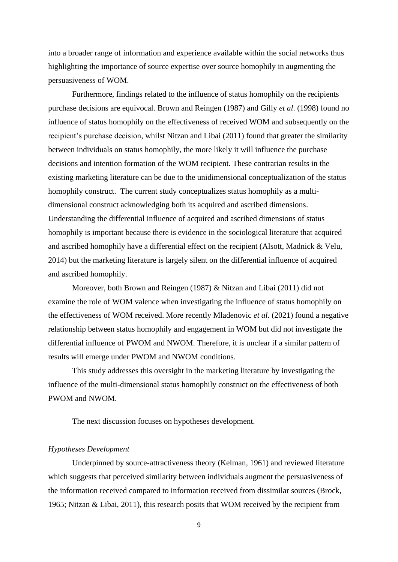into a broader range of information and experience available within the social networks thus highlighting the importance of source expertise over source homophily in augmenting the persuasiveness of WOM.

Furthermore, findings related to the influence of status homophily on the recipients purchase decisions are equivocal. Brown and Reingen (1987) and Gilly *et al*. (1998) found no influence of status homophily on the effectiveness of received WOM and subsequently on the recipient's purchase decision, whilst Nitzan and Libai (2011) found that greater the similarity between individuals on status homophily, the more likely it will influence the purchase decisions and intention formation of the WOM recipient. These contrarian results in the existing marketing literature can be due to the unidimensional conceptualization of the status homophily construct. The current study conceptualizes status homophily as a multidimensional construct acknowledging both its acquired and ascribed dimensions. Understanding the differential influence of acquired and ascribed dimensions of status homophily is important because there is evidence in the sociological literature that acquired and ascribed homophily have a differential effect on the recipient (Alsott, Madnick & Velu, 2014) but the marketing literature is largely silent on the differential influence of acquired and ascribed homophily.

Moreover, both Brown and Reingen (1987) & Nitzan and Libai (2011) did not examine the role of WOM valence when investigating the influence of status homophily on the effectiveness of WOM received. More recently Mladenovic *et al.* (2021) found a negative relationship between status homophily and engagement in WOM but did not investigate the differential influence of PWOM and NWOM. Therefore, it is unclear if a similar pattern of results will emerge under PWOM and NWOM conditions.

This study addresses this oversight in the marketing literature by investigating the influence of the multi-dimensional status homophily construct on the effectiveness of both PWOM and NWOM.

The next discussion focuses on hypotheses development.

#### *Hypotheses Development*

Underpinned by source-attractiveness theory (Kelman, 1961) and reviewed literature which suggests that perceived similarity between individuals augment the persuasiveness of the information received compared to information received from dissimilar sources (Brock, 1965; Nitzan & Libai, 2011), this research posits that WOM received by the recipient from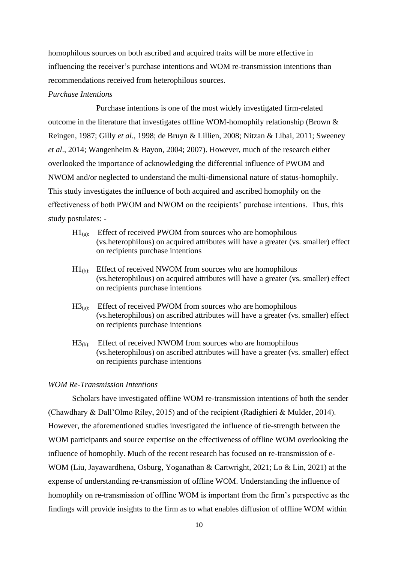homophilous sources on both ascribed and acquired traits will be more effective in influencing the receiver's purchase intentions and WOM re-transmission intentions than recommendations received from heterophilous sources.

## *Purchase Intentions*

Purchase intentions is one of the most widely investigated firm-related outcome in the literature that investigates offline WOM-homophily relationship (Brown & Reingen, 1987; Gilly *et al*., 1998; de Bruyn & Lillien, 2008; Nitzan & Libai, 2011; Sweeney *et al*., 2014; Wangenheim & Bayon, 2004; 2007). However, much of the research either overlooked the importance of acknowledging the differential influence of PWOM and NWOM and/or neglected to understand the multi-dimensional nature of status-homophily. This study investigates the influence of both acquired and ascribed homophily on the effectiveness of both PWOM and NWOM on the recipients' purchase intentions. Thus, this study postulates: -

- $H1_{(a)}$ : Effect of received PWOM from sources who are homophilous (vs.heterophilous) on acquired attributes will have a greater (vs. smaller) effect on recipients purchase intentions
- $H1_{(b)}$ : Effect of received NWOM from sources who are homophilous (vs.heterophilous) on acquired attributes will have a greater (vs. smaller) effect on recipients purchase intentions
- $H3<sub>(a)</sub>$ : Effect of received PWOM from sources who are homophilous (vs.heterophilous) on ascribed attributes will have a greater (vs. smaller) effect on recipients purchase intentions
- $H3_{(b)}$ : Effect of received NWOM from sources who are homophilous (vs.heterophilous) on ascribed attributes will have a greater (vs. smaller) effect on recipients purchase intentions

## *WOM Re-Transmission Intentions*

Scholars have investigated offline WOM re-transmission intentions of both the sender (Chawdhary & Dall'Olmo Riley, 2015) and of the recipient (Radighieri & Mulder, 2014). However, the aforementioned studies investigated the influence of tie-strength between the WOM participants and source expertise on the effectiveness of offline WOM overlooking the influence of homophily. Much of the recent research has focused on re-transmission of e-WOM (Liu, Jayawardhena, Osburg, Yoganathan & Cartwright, 2021; Lo & Lin, 2021) at the expense of understanding re-transmission of offline WOM. Understanding the influence of homophily on re-transmission of offline WOM is important from the firm's perspective as the findings will provide insights to the firm as to what enables diffusion of offline WOM within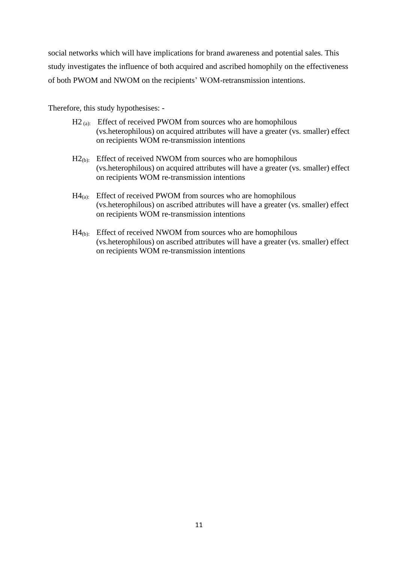social networks which will have implications for brand awareness and potential sales. This study investigates the influence of both acquired and ascribed homophily on the effectiveness of both PWOM and NWOM on the recipients' WOM-retransmission intentions.

Therefore, this study hypothesises: -

- $H2$  (a): Effect of received PWOM from sources who are homophilous (vs.heterophilous) on acquired attributes will have a greater (vs. smaller) effect on recipients WOM re-transmission intentions
- $H2_{(b)}$ : Effect of received NWOM from sources who are homophilous (vs.heterophilous) on acquired attributes will have a greater (vs. smaller) effect on recipients WOM re-transmission intentions
- $H4_{(a)}$ : Effect of received PWOM from sources who are homophilous (vs.heterophilous) on ascribed attributes will have a greater (vs. smaller) effect on recipients WOM re-transmission intentions
- $H4_{(b)}$ : Effect of received NWOM from sources who are homophilous (vs.heterophilous) on ascribed attributes will have a greater (vs. smaller) effect on recipients WOM re-transmission intentions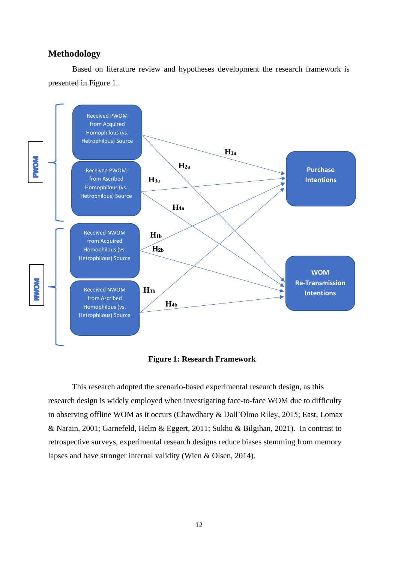## **Methodology**

Based on literature review and hypotheses development the research framework is presented in Figure 1.



 **Figure 1: Research Framework** 

This research adopted the scenario-based experimental research design, as this research design is widely employed when investigating face-to-face WOM due to difficulty in observing offline WOM as it occurs (Chawdhary & Dall'Olmo Riley, 2015; East, Lomax & Narain, 2001; Garnefeld, Helm & Eggert, 2011; Sukhu & Bilgihan, 2021). In contrast to retrospective surveys, experimental research designs reduce biases stemming from memory lapses and have stronger internal validity (Wien & Olsen, 2014).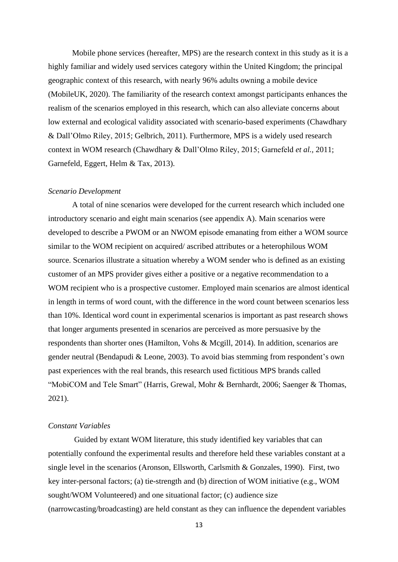Mobile phone services (hereafter, MPS) are the research context in this study as it is a highly familiar and widely used services category within the United Kingdom; the principal geographic context of this research, with nearly 96% adults owning a mobile device (MobileUK, 2020). The familiarity of the research context amongst participants enhances the realism of the scenarios employed in this research, which can also alleviate concerns about low external and ecological validity associated with scenario-based experiments (Chawdhary & Dall'Olmo Riley, 2015; Gelbrich, 2011). Furthermore, MPS is a widely used research context in WOM research (Chawdhary & Dall'Olmo Riley, 2015; Garnefeld *et al.,* 2011; Garnefeld, Eggert, Helm & Tax, 2013).

#### *Scenario Development*

A total of nine scenarios were developed for the current research which included one introductory scenario and eight main scenarios (see appendix A). Main scenarios were developed to describe a PWOM or an NWOM episode emanating from either a WOM source similar to the WOM recipient on acquired/ ascribed attributes or a heterophilous WOM source. Scenarios illustrate a situation whereby a WOM sender who is defined as an existing customer of an MPS provider gives either a positive or a negative recommendation to a WOM recipient who is a prospective customer. Employed main scenarios are almost identical in length in terms of word count, with the difference in the word count between scenarios less than 10%. Identical word count in experimental scenarios is important as past research shows that longer arguments presented in scenarios are perceived as more persuasive by the respondents than shorter ones (Hamilton, Vohs & Mcgill, 2014). In addition, scenarios are gender neutral (Bendapudi & Leone, 2003). To avoid bias stemming from respondent's own past experiences with the real brands, this research used fictitious MPS brands called "MobiCOM and Tele Smart" (Harris, Grewal, Mohr & Bernhardt, 2006; Saenger & Thomas, 2021).

#### *Constant Variables*

Guided by extant WOM literature, this study identified key variables that can potentially confound the experimental results and therefore held these variables constant at a single level in the scenarios (Aronson, Ellsworth, Carlsmith & Gonzales, 1990). First, two key inter-personal factors; (a) tie-strength and (b) direction of WOM initiative (e.g., WOM sought/WOM Volunteered) and one situational factor; (c) audience size (narrowcasting/broadcasting) are held constant as they can influence the dependent variables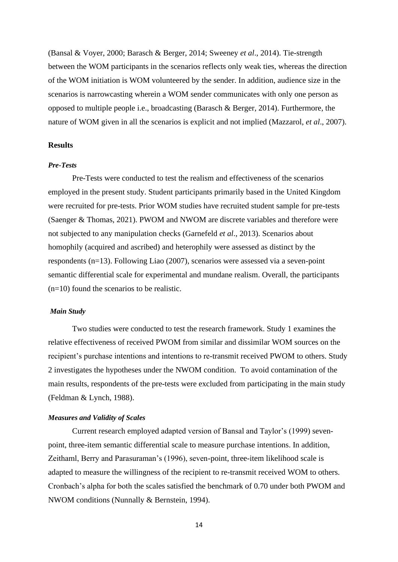(Bansal & Voyer, 2000; Barasch & Berger, 2014; Sweeney *et al*., 2014). Tie-strength between the WOM participants in the scenarios reflects only weak ties, whereas the direction of the WOM initiation is WOM volunteered by the sender. In addition, audience size in the scenarios is narrowcasting wherein a WOM sender communicates with only one person as opposed to multiple people i.e., broadcasting (Barasch & Berger, 2014). Furthermore, the nature of WOM given in all the scenarios is explicit and not implied (Mazzarol, *et al*., 2007).

## **Results**

#### *Pre-Tests*

Pre-Tests were conducted to test the realism and effectiveness of the scenarios employed in the present study. Student participants primarily based in the United Kingdom were recruited for pre-tests. Prior WOM studies have recruited student sample for pre-tests (Saenger & Thomas, 2021). PWOM and NWOM are discrete variables and therefore were not subjected to any manipulation checks (Garnefeld *et al*., 2013). Scenarios about homophily (acquired and ascribed) and heterophily were assessed as distinct by the respondents (n=13). Following Liao (2007), scenarios were assessed via a seven-point semantic differential scale for experimental and mundane realism. Overall, the participants (n=10) found the scenarios to be realistic.

### *Main Study*

Two studies were conducted to test the research framework. Study 1 examines the relative effectiveness of received PWOM from similar and dissimilar WOM sources on the recipient's purchase intentions and intentions to re-transmit received PWOM to others. Study 2 investigates the hypotheses under the NWOM condition. To avoid contamination of the main results, respondents of the pre-tests were excluded from participating in the main study (Feldman & Lynch, 1988).

#### *Measures and Validity of Scales*

Current research employed adapted version of Bansal and Taylor's (1999) sevenpoint, three-item semantic differential scale to measure purchase intentions. In addition, Zeithaml, Berry and Parasuraman's (1996), seven-point, three-item likelihood scale is adapted to measure the willingness of the recipient to re-transmit received WOM to others. Cronbach's alpha for both the scales satisfied the benchmark of 0.70 under both PWOM and NWOM conditions (Nunnally & Bernstein, 1994).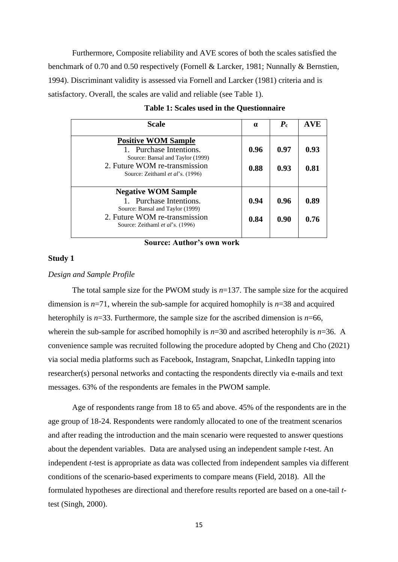Furthermore, Composite reliability and AVE scores of both the scales satisfied the benchmark of 0.70 and 0.50 respectively (Fornell & Larcker, 1981; Nunnally & Bernstien, 1994). Discriminant validity is assessed via Fornell and Larcker (1981) criteria and is satisfactory. Overall, the scales are valid and reliable (see Table 1).

| <b>Scale</b>                                                                                                                                                   | $\alpha$     | $P_{c}$      | <b>AVE</b>   |
|----------------------------------------------------------------------------------------------------------------------------------------------------------------|--------------|--------------|--------------|
| <b>Positive WOM Sample</b><br>1. Purchase Intentions.<br>Source: Bansal and Taylor (1999)<br>2. Future WOM re-transmission<br>Source: Zeithaml et al's. (1996) | 0.96<br>0.88 | 0.97<br>0.93 | 0.93<br>0.81 |
| <b>Negative WOM Sample</b><br>1. Purchase Intentions.<br>Source: Bansal and Taylor (1999)<br>2. Future WOM re-transmission<br>Source: Zeithaml et al's. (1996) | 0.94<br>0.84 | 0.96<br>0.90 | 0.89<br>0.76 |

| Table 1: Scales used in the Questionnaire |  |  |  |
|-------------------------------------------|--|--|--|
|-------------------------------------------|--|--|--|

**Source: Author's own work** 

#### **Study 1**

## *Design and Sample Profile*

The total sample size for the PWOM study is  $n=137$ . The sample size for the acquired dimension is *n*=71, wherein the sub-sample for acquired homophily is *n*=38 and acquired heterophily is  $n=33$ . Furthermore, the sample size for the ascribed dimension is  $n=66$ , wherein the sub-sample for ascribed homophily is  $n=30$  and ascribed heterophily is  $n=36$ . A convenience sample was recruited following the procedure adopted by Cheng and Cho (2021) via social media platforms such as Facebook, Instagram, Snapchat, LinkedIn tapping into researcher(s) personal networks and contacting the respondents directly via e-mails and text messages. 63% of the respondents are females in the PWOM sample.

Age of respondents range from 18 to 65 and above. 45% of the respondents are in the age group of 18-24. Respondents were randomly allocated to one of the treatment scenarios and after reading the introduction and the main scenario were requested to answer questions about the dependent variables. Data are analysed using an independent sample *t*-test. An independent *t*-test is appropriate as data was collected from independent samples via different conditions of the scenario-based experiments to compare means (Field, 2018). All the formulated hypotheses are directional and therefore results reported are based on a one-tail *t*test (Singh, 2000).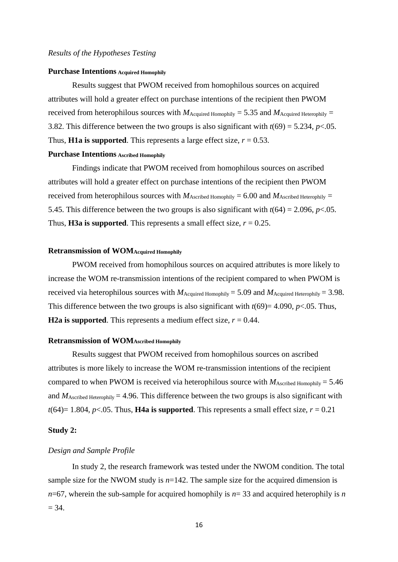#### *Results of the Hypotheses Testing*

#### **Purchase Intentions Acquired Homophily**

Results suggest that PWOM received from homophilous sources on acquired attributes will hold a greater effect on purchase intentions of the recipient then PWOM received from heterophilous sources with  $M_{\text{Acquired Homophily}} = 5.35$  and  $M_{\text{Acquired Herophily}} =$ 3.82. This difference between the two groups is also significant with  $t(69) = 5.234$ ,  $p < .05$ . Thus, **H1a is supported**. This represents a large effect size,  $r = 0.53$ .

## **Purchase Intentions Ascribed Homophily**

Findings indicate that PWOM received from homophilous sources on ascribed attributes will hold a greater effect on purchase intentions of the recipient then PWOM received from heterophilous sources with  $M_{\text{Ascribed Homophily}} = 6.00$  and  $M_{\text{Ascribed Herophily}} =$ 5.45. This difference between the two groups is also significant with  $t(64) = 2.096$ ,  $p < 0.05$ . Thus, **H3a is supported**. This represents a small effect size,  $r = 0.25$ .

#### **Retransmission of WOMAcquired Homophily**

PWOM received from homophilous sources on acquired attributes is more likely to increase the WOM re-transmission intentions of the recipient compared to when PWOM is received via heterophilous sources with  $M_{\text{Acquired Homophily}} = 5.09$  and  $M_{\text{Acquired Heterophily}} = 3.98$ . This difference between the two groups is also significant with  $t(69)=4.090$ ,  $p<.05$ . Thus, **H2a is supported**. This represents a medium effect size,  $r = 0.44$ .

#### **Retransmission of WOMAscribed Homophily**

Results suggest that PWOM received from homophilous sources on ascribed attributes is more likely to increase the WOM re-transmission intentions of the recipient compared to when PWOM is received via heterophilous source with  $M_{\text{Ascribed Homophilv}} = 5.46$ and  $M_{\text{Ascribed Heterophily}} = 4.96$ . This difference between the two groups is also significant with  $t(64)=1.804$ ,  $p<.05$ . Thus, **H4a is supported**. This represents a small effect size,  $r = 0.21$ 

#### **Study 2:**

#### *Design and Sample Profile*

In study 2, the research framework was tested under the NWOM condition. The total sample size for the NWOM study is  $n=142$ . The sample size for the acquired dimension is *n*=67, wherein the sub-sample for acquired homophily is *n*= 33 and acquired heterophily is *n*  $= 34.$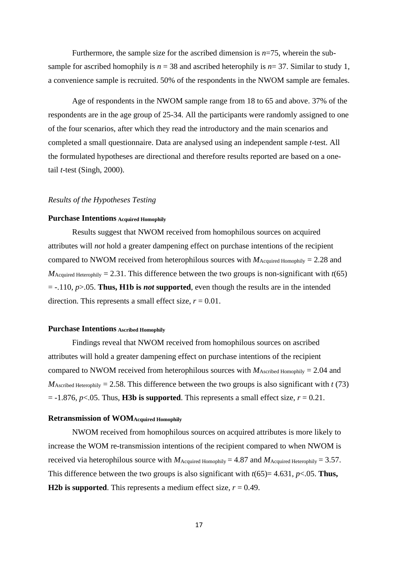Furthermore, the sample size for the ascribed dimension is *n*=75, wherein the subsample for ascribed homophily is  $n = 38$  and ascribed heterophily is  $n = 37$ . Similar to study 1, a convenience sample is recruited. 50% of the respondents in the NWOM sample are females.

Age of respondents in the NWOM sample range from 18 to 65 and above. 37% of the respondents are in the age group of 25-34. All the participants were randomly assigned to one of the four scenarios, after which they read the introductory and the main scenarios and completed a small questionnaire. Data are analysed using an independent sample *t*-test. All the formulated hypotheses are directional and therefore results reported are based on a onetail *t*-test (Singh, 2000).

## *Results of the Hypotheses Testing*

## **Purchase Intentions Acquired Homophily**

Results suggest that NWOM received from homophilous sources on acquired attributes will *not* hold a greater dampening effect on purchase intentions of the recipient compared to NWOM received from heterophilous sources with  $M_{\text{Acquired Homophily}} = 2.28$  and  $M_{\text{Acquired Heterophily}} = 2.31$ . This difference between the two groups is non-significant with  $t(65)$ = -.110, *p*>.05. **Thus, H1b is** *not* **supported**, even though the results are in the intended direction. This represents a small effect size,  $r = 0.01$ .

#### **Purchase Intentions Ascribed Homophily**

Findings reveal that NWOM received from homophilous sources on ascribed attributes will hold a greater dampening effect on purchase intentions of the recipient compared to NWOM received from heterophilous sources with  $M_{\text{Ascribed Homophily}} = 2.04$  and  $M_{\text{Ascribed Herophily}} = 2.58$ . This difference between the two groups is also significant with *t* (73)  $= -1.876$ ,  $p < 0.05$ . Thus, **H3b is supported**. This represents a small effect size,  $r = 0.21$ .

#### **Retransmission of WOMAcquired Homophily**

NWOM received from homophilous sources on acquired attributes is more likely to increase the WOM re-transmission intentions of the recipient compared to when NWOM is received via heterophilous source with  $M_{\text{Acquired Homophily}} = 4.87$  and  $M_{\text{Acquired Herophily}} = 3.57$ . This difference between the two groups is also significant with *t*(65)= 4.631, *p*<.05. **Thus, H2b is supported**. This represents a medium effect size,  $r = 0.49$ .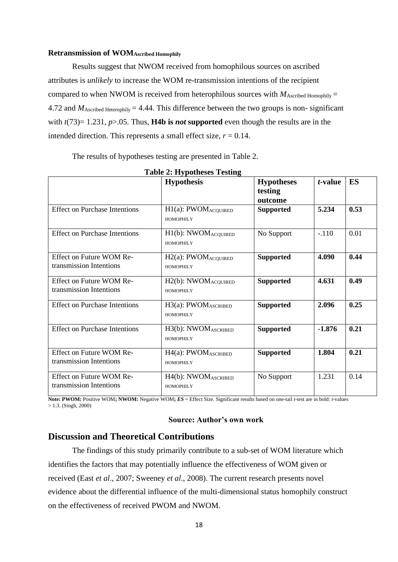### **Retransmission of WOMAscribed Homophily**

Results suggest that NWOM received from homophilous sources on ascribed attributes is *unlikely* to increase the WOM re-transmission intentions of the recipient compared to when NWOM is received from heterophilous sources with  $M_{\text{Ascribed Homophily}} =$ 4.72 and  $M_{\text{Ascribed Heterophilv}} = 4.44$ . This difference between the two groups is non-significant with *t*(73)= 1.231, *p*>.05. Thus, **H4b is** *not* **supported** even though the results are in the intended direction. This represents a small effect size,  $r = 0.14$ .

The results of hypotheses testing are presented in Table 2.

|                                                     | $1000$ $\mu$ , $11$ , potheses $1$ esting                 |                   |          |      |
|-----------------------------------------------------|-----------------------------------------------------------|-------------------|----------|------|
|                                                     | <b>Hypothesis</b>                                         | <b>Hypotheses</b> | t-value  | ES   |
|                                                     |                                                           | testing           |          |      |
|                                                     |                                                           | outcome           |          |      |
| <b>Effect on Purchase Intentions</b>                | H1(a): PWOMACQUIRED<br><b>HOMOPHILY</b>                   | <b>Supported</b>  | 5.234    | 0.53 |
| <b>Effect on Purchase Intentions</b>                | H1(b): NWOMACQUIRED<br><b>НОМОРНІІ У</b>                  | No Support        | $-.110$  | 0.01 |
| Effect on Future WOM Re-<br>transmission Intentions | $H2(a)$ : PWOM <sub>ACQUIRED</sub><br><b>HOMOPHILY</b>    | <b>Supported</b>  | 4.090    | 0.44 |
| Effect on Future WOM Re-<br>transmission Intentions | H <sub>2</sub> (b): NWOM <sub>ACQUIRED</sub><br>HOMOPHILY | <b>Supported</b>  | 4.631    | 0.49 |
| <b>Effect on Purchase Intentions</b>                | H3(a): PWOMASCRIBED<br><b>HOMOPHILY</b>                   | <b>Supported</b>  | 2.096    | 0.25 |
| <b>Effect on Purchase Intentions</b>                | H3(b): NWOMASCRIBED<br><b>HOMOPHILY</b>                   | <b>Supported</b>  | $-1.876$ | 0.21 |
| Effect on Future WOM Re-<br>transmission Intentions | H4(a): PWOMASCRIBED<br><b>HOMOPHILY</b>                   | <b>Supported</b>  | 1.804    | 0.21 |
| Effect on Future WOM Re-<br>transmission Intentions | H4(b): NWOMASCRIBED<br><b>HOMOPHILY</b>                   | No Support        | 1.231    | 0.14 |

**Table 2: Hypotheses Testing**

**Note: PWOM:** Positive WOM; **NWOM:** Negative WOM;  $\mathbf{ES} = \text{Effect Size}$ . Significant results based on one-tail *t*-test are in bold: *t*-values  $> 1.3$ . (Singh, 2000)

### **Source: Author's own work**

## **Discussion and Theoretical Contributions**

The findings of this study primarily contribute to a sub-set of WOM literature which identifies the factors that may potentially influence the effectiveness of WOM given or received (East *et al*., 2007; Sweeney *et al*., 2008). The current research presents novel evidence about the differential influence of the multi-dimensional status homophily construct on the effectiveness of received PWOM and NWOM.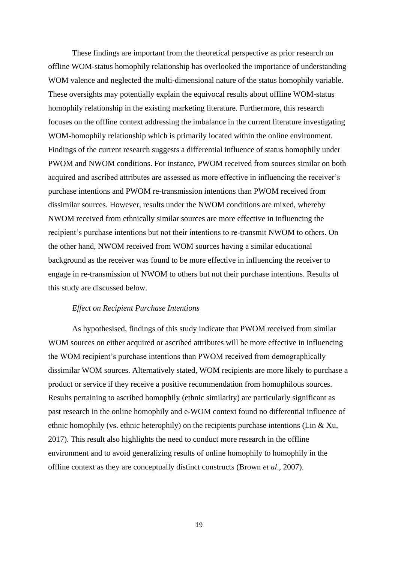These findings are important from the theoretical perspective as prior research on offline WOM-status homophily relationship has overlooked the importance of understanding WOM valence and neglected the multi-dimensional nature of the status homophily variable. These oversights may potentially explain the equivocal results about offline WOM-status homophily relationship in the existing marketing literature. Furthermore, this research focuses on the offline context addressing the imbalance in the current literature investigating WOM-homophily relationship which is primarily located within the online environment. Findings of the current research suggests a differential influence of status homophily under PWOM and NWOM conditions. For instance, PWOM received from sources similar on both acquired and ascribed attributes are assessed as more effective in influencing the receiver's purchase intentions and PWOM re-transmission intentions than PWOM received from dissimilar sources. However, results under the NWOM conditions are mixed, whereby NWOM received from ethnically similar sources are more effective in influencing the recipient's purchase intentions but not their intentions to re-transmit NWOM to others. On the other hand, NWOM received from WOM sources having a similar educational background as the receiver was found to be more effective in influencing the receiver to engage in re-transmission of NWOM to others but not their purchase intentions. Results of this study are discussed below.

#### *Effect on Recipient Purchase Intentions*

As hypothesised, findings of this study indicate that PWOM received from similar WOM sources on either acquired or ascribed attributes will be more effective in influencing the WOM recipient's purchase intentions than PWOM received from demographically dissimilar WOM sources. Alternatively stated, WOM recipients are more likely to purchase a product or service if they receive a positive recommendation from homophilous sources. Results pertaining to ascribed homophily (ethnic similarity) are particularly significant as past research in the online homophily and e-WOM context found no differential influence of ethnic homophily (vs. ethnic heterophily) on the recipients purchase intentions (Lin & Xu, 2017). This result also highlights the need to conduct more research in the offline environment and to avoid generalizing results of online homophily to homophily in the offline context as they are conceptually distinct constructs (Brown *et al*., 2007).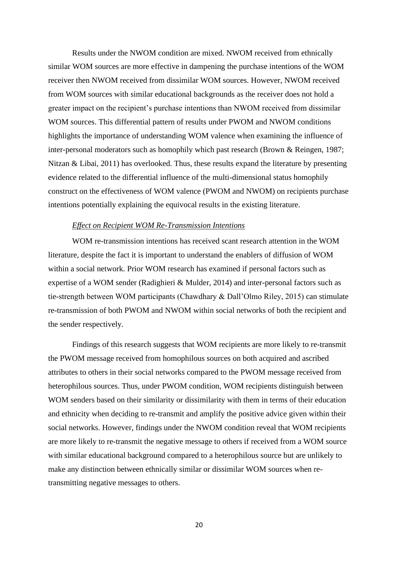Results under the NWOM condition are mixed. NWOM received from ethnically similar WOM sources are more effective in dampening the purchase intentions of the WOM receiver then NWOM received from dissimilar WOM sources. However, NWOM received from WOM sources with similar educational backgrounds as the receiver does not hold a greater impact on the recipient's purchase intentions than NWOM received from dissimilar WOM sources. This differential pattern of results under PWOM and NWOM conditions highlights the importance of understanding WOM valence when examining the influence of inter-personal moderators such as homophily which past research (Brown & Reingen, 1987; Nitzan & Libai, 2011) has overlooked. Thus, these results expand the literature by presenting evidence related to the differential influence of the multi-dimensional status homophily construct on the effectiveness of WOM valence (PWOM and NWOM) on recipients purchase intentions potentially explaining the equivocal results in the existing literature.

#### *Effect on Recipient WOM Re-Transmission Intentions*

WOM re-transmission intentions has received scant research attention in the WOM literature, despite the fact it is important to understand the enablers of diffusion of WOM within a social network. Prior WOM research has examined if personal factors such as expertise of a WOM sender (Radighieri & Mulder, 2014) and inter-personal factors such as tie-strength between WOM participants (Chawdhary & Dall'Olmo Riley, 2015) can stimulate re-transmission of both PWOM and NWOM within social networks of both the recipient and the sender respectively.

Findings of this research suggests that WOM recipients are more likely to re-transmit the PWOM message received from homophilous sources on both acquired and ascribed attributes to others in their social networks compared to the PWOM message received from heterophilous sources. Thus, under PWOM condition, WOM recipients distinguish between WOM senders based on their similarity or dissimilarity with them in terms of their education and ethnicity when deciding to re-transmit and amplify the positive advice given within their social networks. However, findings under the NWOM condition reveal that WOM recipients are more likely to re-transmit the negative message to others if received from a WOM source with similar educational background compared to a heterophilous source but are unlikely to make any distinction between ethnically similar or dissimilar WOM sources when retransmitting negative messages to others.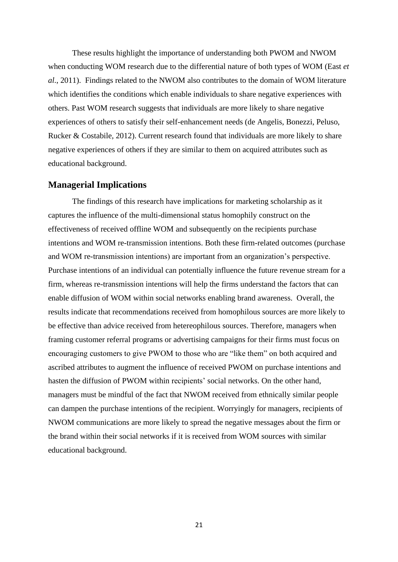These results highlight the importance of understanding both PWOM and NWOM when conducting WOM research due to the differential nature of both types of WOM (East *et al*., 2011). Findings related to the NWOM also contributes to the domain of WOM literature which identifies the conditions which enable individuals to share negative experiences with others. Past WOM research suggests that individuals are more likely to share negative experiences of others to satisfy their self-enhancement needs (de Angelis, Bonezzi, Peluso, Rucker & Costabile, 2012). Current research found that individuals are more likely to share negative experiences of others if they are similar to them on acquired attributes such as educational background.

## **Managerial Implications**

The findings of this research have implications for marketing scholarship as it captures the influence of the multi-dimensional status homophily construct on the effectiveness of received offline WOM and subsequently on the recipients purchase intentions and WOM re-transmission intentions. Both these firm-related outcomes (purchase and WOM re-transmission intentions) are important from an organization's perspective. Purchase intentions of an individual can potentially influence the future revenue stream for a firm, whereas re-transmission intentions will help the firms understand the factors that can enable diffusion of WOM within social networks enabling brand awareness. Overall, the results indicate that recommendations received from homophilous sources are more likely to be effective than advice received from hetereophilous sources. Therefore, managers when framing customer referral programs or advertising campaigns for their firms must focus on encouraging customers to give PWOM to those who are "like them" on both acquired and ascribed attributes to augment the influence of received PWOM on purchase intentions and hasten the diffusion of PWOM within recipients' social networks. On the other hand, managers must be mindful of the fact that NWOM received from ethnically similar people can dampen the purchase intentions of the recipient. Worryingly for managers, recipients of NWOM communications are more likely to spread the negative messages about the firm or the brand within their social networks if it is received from WOM sources with similar educational background.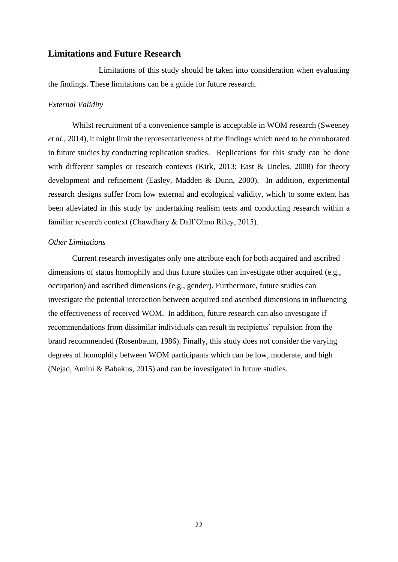## **Limitations and Future Research**

Limitations of this study should be taken into consideration when evaluating the findings. These limitations can be a guide for future research.

#### *External Validity*

 Whilst recruitment of a convenience sample is acceptable in WOM research (Sweeney *et al*., 2014), it might limit the representativeness of the findings which need to be corroborated in future studies by conducting replication studies. Replications for this study can be done with different samples or research contexts (Kirk, 2013; East & Uncles, 2008) for theory development and refinement (Easley, Madden & Dunn, 2000). In addition, experimental research designs suffer from low external and ecological validity, which to some extent has been alleviated in this study by undertaking realism tests and conducting research within a familiar research context (Chawdhary & Dall'Olmo Riley, 2015).

#### *Other Limitations*

Current research investigates only one attribute each for both acquired and ascribed dimensions of status homophily and thus future studies can investigate other acquired (e.g., occupation) and ascribed dimensions (e.g., gender). Furthermore, future studies can investigate the potential interaction between acquired and ascribed dimensions in influencing the effectiveness of received WOM. In addition, future research can also investigate if recommendations from dissimilar individuals can result in recipients' repulsion from the brand recommended (Rosenbaum, 1986). Finally, this study does not consider the varying degrees of homophily between WOM participants which can be low, moderate, and high (Nejad, Amini & Babakus, 2015) and can be investigated in future studies.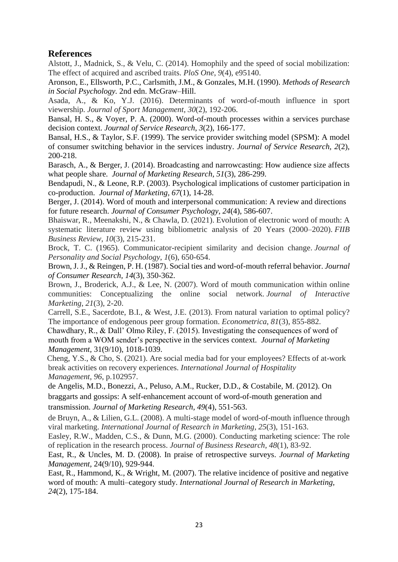## **References**

Alstott, J., Madnick, S., & Velu, C. (2014). Homophily and the speed of social mobilization: The effect of acquired and ascribed traits. *PloS One*, *9*(4), e95140.

Aronson, E., Ellsworth, P.C., Carlsmith, J.M., & Gonzales, M.H. (1990). *Methods of Research in Social Psychology.* 2nd edn. McGraw–Hill.

Asada, A., & Ko, Y.J. (2016). Determinants of word-of-mouth influence in sport viewership. *Journal of Sport Management*, *30*(2), 192-206.

Bansal, H. S., & Voyer, P. A. (2000). Word-of-mouth processes within a services purchase decision context. *Journal of Service Research*, *3*(2), 166-177.

Bansal, H.S., & Taylor, S.F. (1999). The service provider switching model (SPSM): A model of consumer switching behavior in the services industry. *Journal of Service Research, 2*(2), 200-218.

Barasch, A., & Berger, J. (2014). Broadcasting and narrowcasting: How audience size affects what people share. *Journal of Marketing Research, 51*(3), 286-299.

Bendapudi, N., & Leone, R.P. (2003). Psychological implications of customer participation in co-production. *Journal of Marketing, 67*(1), 14-28.

Berger, J. (2014). Word of mouth and interpersonal communication: A review and directions for future research. *Journal of Consumer Psychology*, *24*(4), 586-607.

Bhaiswar, R., Meenakshi, N., & Chawla, D. (2021). Evolution of electronic word of mouth: A systematic literature review using bibliometric analysis of 20 Years (2000–2020). *FIIB Business Review*, *10*(3), 215-231.

Brock, T. C. (1965). Communicator-recipient similarity and decision change. *Journal of Personality and Social Psychology*, *1*(6), 650-654.

Brown, J. J., & Reingen, P. H. (1987). Social ties and word-of-mouth referral behavior. *Journal of Consumer Research, 14*(3), 350-362.

Brown, J., Broderick, A.J., & Lee, N. (2007). Word of mouth communication within online communities: Conceptualizing the online social network. *Journal of Interactive Marketing*, *21*(3), 2-20.

Carrell, S.E., Sacerdote, B.I., & West, J.E. (2013). From natural variation to optimal policy? The importance of endogenous peer group formation. *Econometrica*, *81*(3), 855-882.

 Chawdhary, R., & Dall' Olmo Riley, F. (2015). Investigating the consequences of word of mouth from a WOM sender's perspective in the services context. *Journal of Marketing Management,* 31(9/10), 1018-1039.

 Cheng, Y.S., & Cho, S. (2021). Are social media bad for your employees? Effects of at-work break activities on recovery experiences. *International Journal of Hospitality Management*, *96*, p.102957.

de Angelis, M.D., Bonezzi, A., Peluso, A.M., Rucker, D.D., & Costabile, M. (2012). On braggarts and gossips: A self-enhancement account of word-of-mouth generation and transmission. *Journal of Marketing Research, 49*(4), 551-563.

de Bruyn, A., & Lilien, G.L. (2008). A multi-stage model of word-of-mouth influence through viral marketing. *International Journal of Research in Marketing*, *25*(3), 151-163.

Easley, R.W., Madden, C.S., & Dunn, M.G. (2000). Conducting marketing science: The role of replication in the research process. *Journal of Business Research*, *48*(1), 83-92.

East, R., & Uncles, M. D. (2008). In praise of retrospective surveys. *Journal of Marketing Management,* 24(9/10), 929-944.

East, R., Hammond, K., & Wright, M. (2007). The relative incidence of positive and negative word of mouth: A multi–category study. *International Journal of Research in Marketing, 24*(2), 175-184.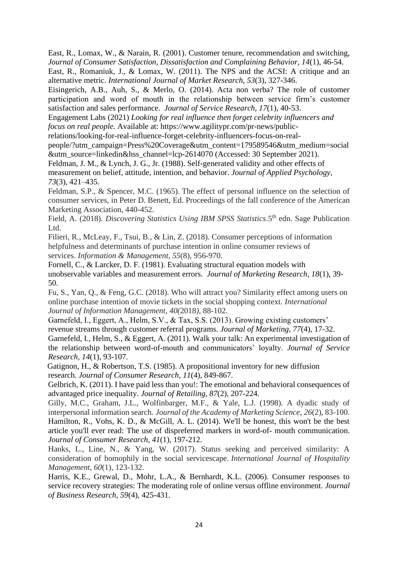East, R., Lomax, W., & Narain, R. (2001). Customer tenure, recommendation and switching, *Journal of Consumer Satisfaction, Dissatisfaction and Complaining Behavior, 14*(1), 46-54.

East, R., Romaniuk, J., & Lomax, W. (2011). The NPS and the ACSI: A critique and an alternative metric. *International Journal of Market Research*, *53*(3), 327-346.

Eisingerich, A.B., Auh, S., & Merlo, O. (2014). Acta non verba? The role of customer participation and word of mouth in the relationship between service firm's customer satisfaction and sales performance. *Journal of Service Research, 17*(1), 40-53.

Engagement Labs (2021) *Looking for real influence then forget celebrity influencers and focus on real people.* Available at: https://www.agilitypr.com/pr-news/public-

relations/looking-for-real-influence-forget-celebrity-influencers-focus-on-real-

people/?utm\_campaign=Press%20Coverage&utm\_content=179589546&utm\_medium=social &utm\_source=linkedin&hss\_channel=lcp-2614070 (Accessed: 30 September 2021).

Feldman, J. M., & Lynch, J. G., Jr. (1988). Self-generated validity and other effects of measurement on belief, attitude, intention, and behavior. *Journal of Applied Psychology, 73*(3), 421–435.

Feldman, S.P., & Spencer, M.C. (1965). The effect of personal influence on the selection of consumer services, in Peter D. Benett, Ed. Proceedings of the fall conference of the American Marketing Association, 440-452.

Field, A. (2018). *Discovering Statistics Using IBM SPSS Statistics*.5th edn. Sage Publication Ltd.

Filieri, R., McLeay, F., Tsui, B., & Lin, Z. (2018). Consumer perceptions of information helpfulness and determinants of purchase intention in online consumer reviews of services. *Information & Management*, *55*(8), 956-970.

Fornell, C., & Larcker, D. F. (1981). Evaluating structural equation models with unobservable variables and measurement errors. *Journal of Marketing Research, 18*(1), 39- 50.

Fu, S., Yan, Q., & Feng, G.C. (2018). Who will attract you? Similarity effect among users on online purchase intention of movie tickets in the social shopping context. *International Journal of Information Management*, *40(*2018*)*, 88-102.

Garnefeld, I., Eggert, A., Helm, S.V., & Tax, S.S. (2013). Growing existing customers' revenue streams through customer referral programs. *Journal of Marketing, 77*(4), 17-32. Garnefeld, I., Helm, S., & Eggert, A. (2011). Walk your talk: An experimental investigation of the relationship between word-of-mouth and communicators' loyalty. *Journal of Service* 

*Research, 14*(1), 93-107.

 Gatignon, H., & Robertson, T.S. (1985). A propositional inventory for new diffusion research. *Journal of Consumer Research*, *11*(4), 849-867.

Gelbrich, K. (2011). I have paid less than you!: The emotional and behavioral consequences of advantaged price inequality. *Journal of Retailing, 87*(2), 207-224.

Gilly, M.C., Graham, J.L., Wolfinbarger, M.F., & Yale, L.J. (1998). A dyadic study of interpersonal information search. *Journal of the Academy of Marketing Science*, *26*(2), 83-100. Hamilton, R., Vohs, K. D., & McGill, A. L. (2014). We'll be honest, this won't be the best article you'll ever read: The use of dispreferred markers in word-of- mouth communication. *Journal of Consumer Research*, *41*(1), 197-212.

Hanks, L., Line, N., & Yang, W. (2017). Status seeking and perceived similarity: A consideration of homophily in the social servicescape. *International Journal of Hospitality Management*, *60*(1), 123-132.

Harris, K.E., Grewal, D., Mohr, L.A., & Bernhardt, K.L. (2006). Consumer responses to service recovery strategies: The moderating role of online versus offline environment. *Journal of Business Research, 59*(4), 425-431.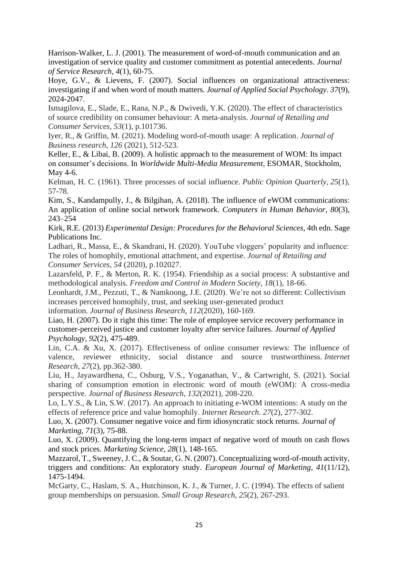Harrison-Walker, L. J. (2001). The measurement of word-of-mouth communication and an investigation of service quality and customer commitment as potential antecedents. *Journal of Service Research, 4*(1), 60-75.

Hoye, G.V., & Lievens, F. (2007). Social influences on organizational attractiveness: investigating if and when word of mouth matters. *Journal of Applied Social Psychology. 37*(9), 2024-2047.

Ismagilova, E., Slade, E., Rana, N.P., & Dwivedi, Y.K. (2020). The effect of characteristics of source credibility on consumer behaviour: A meta-analysis. *Journal of Retailing and Consumer Services*, *53*(1), p.101736.

Iyer, R., & Griffin, M. (2021). Modeling word-of-mouth usage: A replication. *Journal of Business research*, *126* (2021), 512-523.

Keller, E., & Libai, B. (2009). A holistic approach to the measurement of WOM: Its impact on consumer's decisions. In *Worldwide Multi-Media Measurement,* ESOMAR*,* Stockholm, May 4-6.

Kelman, H. C. (1961). Three processes of social influence. *Public Opinion Quarterly*, *25*(1), 57-78.

Kim, S., Kandampully, J., & Bilgihan, A. (2018). The influence of eWOM communications: An application of online social network framework. *Computers in Human Behavior*, *80*(3), 243–254

Kirk, R.E. (2013) *Experimental Design: Procedures for the Behavioral Sciences,* 4th edn. Sage Publications Inc.

Ladhari, R., Massa, E., & Skandrani, H. (2020). YouTube vloggers' popularity and influence: The roles of homophily, emotional attachment, and expertise. *Journal of Retailing and Consumer Services*, *54* (2020), p.102027.

Lazarsfeld, P. F., & Merton, R. K. (1954). Friendship as a social process: A substantive and methodological analysis. *Freedom and Control in Modern Society*, *18*(1), 18-66.

Leonhardt, J.M., Pezzuti, T., & Namkoong, J.E. (2020). We're not so different: Collectivism increases perceived homophily, trust, and seeking user-generated product

information. *Journal of Business Research*, *112*(2020), 160-169.

Liao, H. (2007). Do it right this time: The role of employee service recovery performance in customer-perceived justice and customer loyalty after service failures. *Journal of Applied Psychology, 92*(2), 475-489.

Lin, C.A. & Xu, X. (2017). Effectiveness of online consumer reviews: The influence of valence, reviewer ethnicity, social distance and source trustworthiness. *Internet Research*, *27*(2), pp.362-380.

Liu, H., Jayawardhena, C., Osburg, V.S., Yoganathan, V., & Cartwright, S. (2021). Social sharing of consumption emotion in electronic word of mouth (eWOM): A cross-media perspective. *Journal of Business Research*, *132*(2021), 208-220.

Lo, L.Y.S., & Lin, S.W. (2017). An approach to initiating e-WOM intentions: A study on the effects of reference price and value homophily. *Internet Research*. *27*(2), 277-302.

Luo, X. (2007). Consumer negative voice and firm idiosyncratic stock returns. *Journal of Marketing, 71*(3)*,* 75-88.

Luo, X. (2009). Quantifying the long-term impact of negative word of mouth on cash flows and stock prices. *Marketing Science, 28*(1), 148-165.

Mazzarol, T., Sweeney, J. C., & Soutar, G. N. (2007). Conceptualizing word-of-mouth activity, triggers and conditions: An exploratory study. *European Journal of Marketing*, *41*(11/12), 1475-1494.

McGarty, C., Haslam, S. A., Hutchinson, K. J., & Turner, J. C. (1994). The effects of salient group memberships on persuasion. *Small Group Research*, *25*(2), 267-293.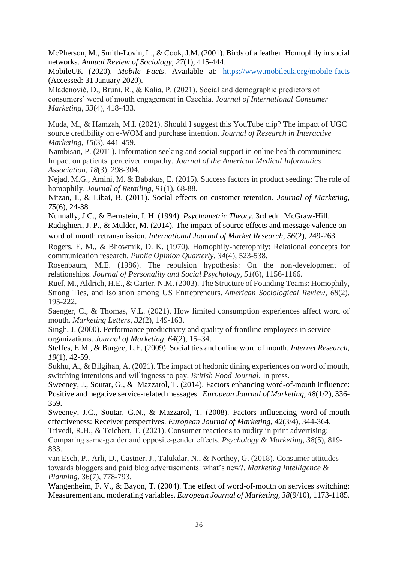McPherson, M., Smith-Lovin, L., & Cook, J.M. (2001). Birds of a feather: Homophily in social networks. *Annual Review of Sociology, 27*(1), 415-444.

MobileUK (2020). *Mobile Facts*. Available at: <https://www.mobileuk.org/mobile-facts> (Accessed: 31 January 2020).

Mladenović, D., Bruni, R., & Kalia, P. (2021). Social and demographic predictors of consumers' word of mouth engagement in Czechia. *Journal of International Consumer Marketing*, *33*(4), 418-433.

Muda, M., & Hamzah, M.I. (2021). Should I suggest this YouTube clip? The impact of UGC source credibility on e-WOM and purchase intention. *Journal of Research in Interactive Marketing*, *15*(3), 441-459.

Nambisan, P. (2011). Information seeking and social support in online health communities: Impact on patients' perceived empathy. *Journal of the American Medical Informatics Association*, *18*(3), 298-304.

Nejad, M.G., Amini, M. & Babakus, E. (2015). Success factors in product seeding: The role of homophily. *Journal of Retailing*, *91*(1), 68-88.

Nitzan, I., & Libai, B. (2011). Social effects on customer retention. *Journal of Marketing*, *75*(6), 24-38.

Nunnally, J.C., & Bernstein, I. H. (1994). *Psychometric Theory.* 3rd edn. McGraw-Hill.

Radighieri, J. P., & Mulder, M. (2014). The impact of source effects and message valence on word of mouth retransmission. *International Journal of Market Research*, *56*(2), 249-263.

Rogers, E. M., & Bhowmik, D. K. (1970). Homophily-heterophily: Relational concepts for communication research. *Public Opinion Quarterly*, *34*(4), 523-538.

Rosenbaum, M.E. (1986). The repulsion hypothesis: On the non-development of relationships. *Journal of Personality and Social Psychology*, *51*(6), 1156-1166.

Ruef, M., Aldrich, H.E., & Carter, N.M. (2003). The Structure of Founding Teams: Homophily, Strong Ties, and Isolation among US Entrepreneurs. *American Sociological Review*, *68*(2). 195-222.

Saenger, C., & Thomas, V.L. (2021). How limited consumption experiences affect word of mouth. *Marketing Letters*, *32*(2), 149-163.

Singh, J. (2000). Performance productivity and quality of frontline employees in service organizations. *Journal of Marketing*, *64*(2), 15–34.

Steffes, E.M., & Burgee, L.E. (2009). Social ties and online word of mouth. *Internet Research, 19*(1), 42-59.

Sukhu, A., & Bilgihan, A. (2021). The impact of hedonic dining experiences on word of mouth, switching intentions and willingness to pay. *British Food Journal*. In press.

Sweeney, J., Soutar, G., & Mazzarol, T. (2014). Factors enhancing word-of-mouth influence: Positive and negative service-related messages. *European Journal of Marketing, 48*(1/2)*,* 336- 359.

Sweeney, J.C., Soutar, G.N., & Mazzarol, T. (2008). Factors influencing word-of-mouth effectiveness: Receiver perspectives. *European Journal of Marketing, 42*(3/4), 344-364.

Trivedi, R.H., & Teichert, T. (2021). Consumer reactions to nudity in print advertising: Comparing same‐gender and opposite‐gender effects. *Psychology & Marketing*, *38*(5), 819- 833.

van Esch, P., Arli, D., Castner, J., Talukdar, N., & Northey, G. (2018). Consumer attitudes towards bloggers and paid blog advertisements: what's new?. *Marketing Intelligence & Planning*. 36(7), 778-793.

Wangenheim, F. V., & Bayon, T. (2004). The effect of word-of-mouth on services switching: Measurement and moderating variables. *European Journal of Marketing, 38*(9/10), 1173-1185.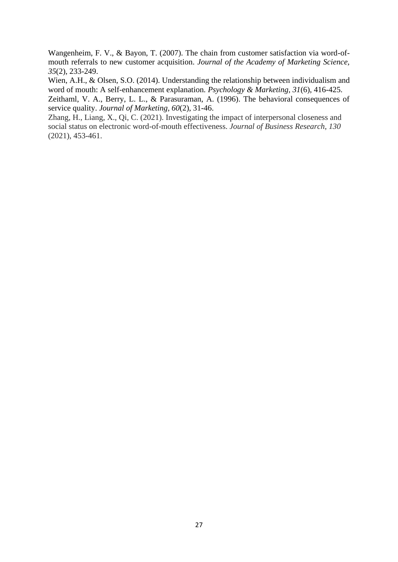Wangenheim, F. V., & Bayon, T. (2007). The chain from customer satisfaction via word-ofmouth referrals to new customer acquisition. *Journal of the Academy of Marketing Science, 35*(2), 233-249.

Wien, A.H., & Olsen, S.O. (2014). Understanding the relationship between individualism and word of mouth: A self-enhancement explanation. *Psychology & Marketing, 31*(6), 416-425.

Zeithaml, V. A., Berry, L. L., & Parasuraman, A. (1996). The behavioral consequences of service quality. *Journal of Marketing, 60*(2), 31-46.

Zhang, H., Liang, X., Qi, C. (2021). Investigating the impact of interpersonal closeness and social status on electronic word-of-mouth effectiveness. *Journal of Business Research*, *130* (2021), 453-461.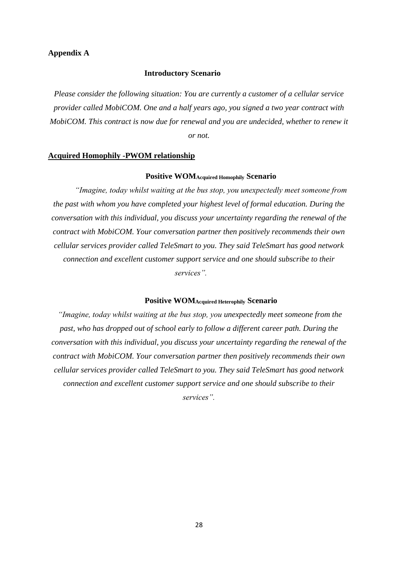## **Appendix A**

#### **Introductory Scenario**

*Please consider the following situation: You are currently a customer of a cellular service provider called MobiCOM. One and a half years ago, you signed a two year contract with MobiCOM. This contract is now due for renewal and you are undecided, whether to renew it or not.*

#### **Acquired Homophily -PWOM relationship**

#### **Positive WOMAcquired Homophily Scenario**

*"Imagine, today whilst waiting at the bus stop, you unexpectedly meet someone from the past with whom you have completed your highest level of formal education. During the conversation with this individual, you discuss your uncertainty regarding the renewal of the contract with MobiCOM. Your conversation partner then positively recommends their own cellular services provider called TeleSmart to you. They said TeleSmart has good network connection and excellent customer support service and one should subscribe to their services".* 

### **Positive WOMAcquired Heterophily Scenario**

*"Imagine, today whilst waiting at the bus stop, you unexpectedly meet someone from the past, who has dropped out of school early to follow a different career path. During the conversation with this individual, you discuss your uncertainty regarding the renewal of the contract with MobiCOM. Your conversation partner then positively recommends their own cellular services provider called TeleSmart to you. They said TeleSmart has good network connection and excellent customer support service and one should subscribe to their services".*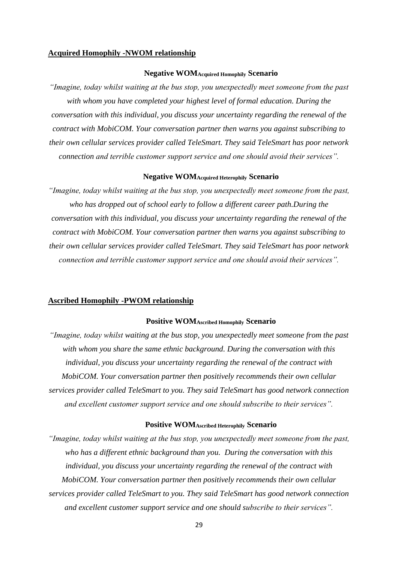#### **Acquired Homophily -NWOM relationship**

#### **Negative WOMAcquired Homophily Scenario**

*"Imagine, today whilst waiting at the bus stop, you unexpectedly meet someone from the past with whom you have completed your highest level of formal education. During the conversation with this individual, you discuss your uncertainty regarding the renewal of the contract with MobiCOM. Your conversation partner then warns you against subscribing to their own cellular services provider called TeleSmart. They said TeleSmart has poor network connection and terrible customer support service and one should avoid their services".*

#### **Negative WOMAcquired Heterophily Scenario**

*"Imagine, today whilst waiting at the bus stop, you unexpectedly meet someone from the past, who has dropped out of school early to follow a different career path.During the conversation with this individual, you discuss your uncertainty regarding the renewal of the contract with MobiCOM. Your conversation partner then warns you against subscribing to their own cellular services provider called TeleSmart. They said TeleSmart has poor network connection and terrible customer support service and one should avoid their services".*

#### **Ascribed Homophily -PWOM relationship**

## **Positive WOMAscribed Homophily Scenario**

*"Imagine, today whilst waiting at the bus stop, you unexpectedly meet someone from the past with whom you share the same ethnic background. During the conversation with this individual, you discuss your uncertainty regarding the renewal of the contract with MobiCOM. Your conversation partner then positively recommends their own cellular services provider called TeleSmart to you. They said TeleSmart has good network connection and excellent customer support service and one should subscribe to their services".*

#### **Positive WOMAscribed Heterophily Scenario**

*"Imagine, today whilst waiting at the bus stop, you unexpectedly meet someone from the past, who has a different ethnic background than you. During the conversation with this individual, you discuss your uncertainty regarding the renewal of the contract with MobiCOM. Your conversation partner then positively recommends their own cellular services provider called TeleSmart to you. They said TeleSmart has good network connection and excellent customer support service and one should subscribe to their services".*